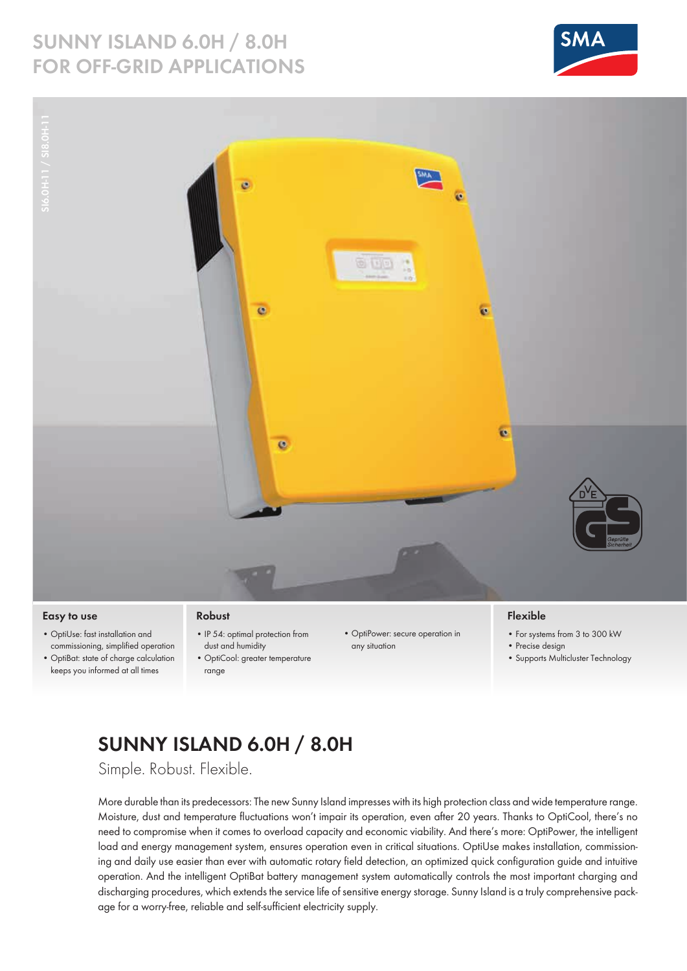### **SUNNY ISLAND 6.0H / 8.0H for Off-grid Applications**





### **Easy to use**

- • OptiUse: fast installation and commissioning, simplified operation
- • OptiBat: state of charge calculation keeps you informed at all times

#### **Robust**

- IP 54: optimal protection from dust and humidity
- • OptiCool: greater temperature range
- • OptiPower: secure operation in any situation

### **Flexible**

- • For systems from 3 to 300 kW
- Precise design
- Supports Multicluster Technology

# **Sunny Island 6.0H / 8.0H**

Simple. Robust. Flexible.

More durable than its predecessors: The new Sunny Island impresses with its high protection class and wide temperature range. Moisture, dust and temperature fluctuations won't impair its operation, even after 20 years. Thanks to OptiCool, there's no need to compromise when it comes to overload capacity and economic viability. And there's more: OptiPower, the intelligent load and energy management system, ensures operation even in critical situations. OptiUse makes installation, commissioning and daily use easier than ever with automatic rotary field detection, an optimized quick configuration guide and intuitive operation. And the intelligent OptiBat battery management system automatically controls the most important charging and discharging procedures, which extends the service life of sensitive energy storage. Sunny Island is a truly comprehensive package for a worry-free, reliable and self-sufficient electricity supply.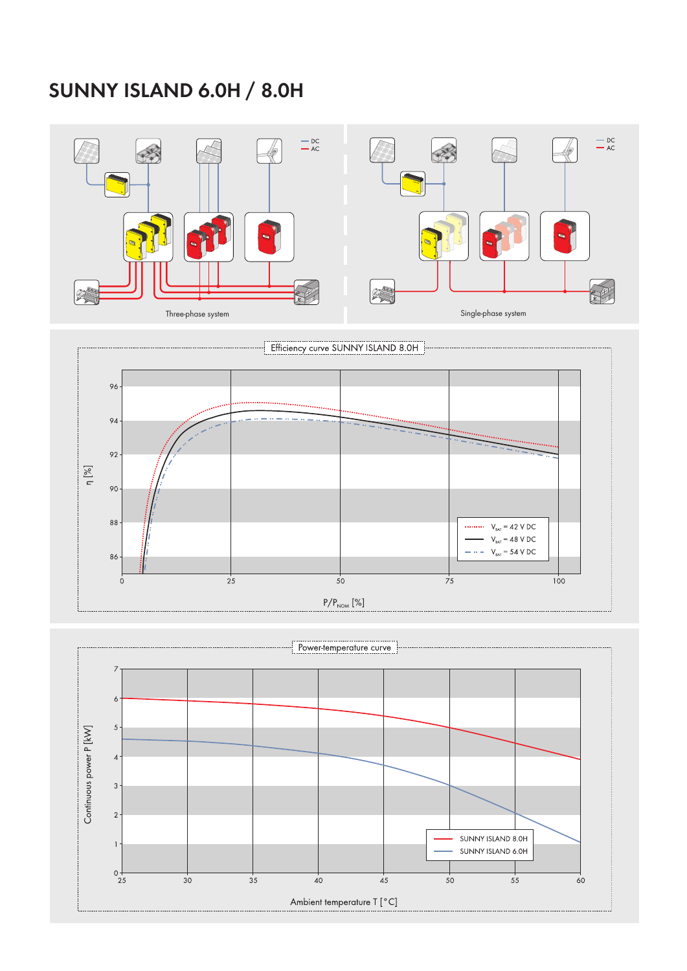## **Sunny Island 6.0H / 8.0H**

![](_page_1_Figure_1.jpeg)

![](_page_1_Figure_2.jpeg)

![](_page_1_Figure_3.jpeg)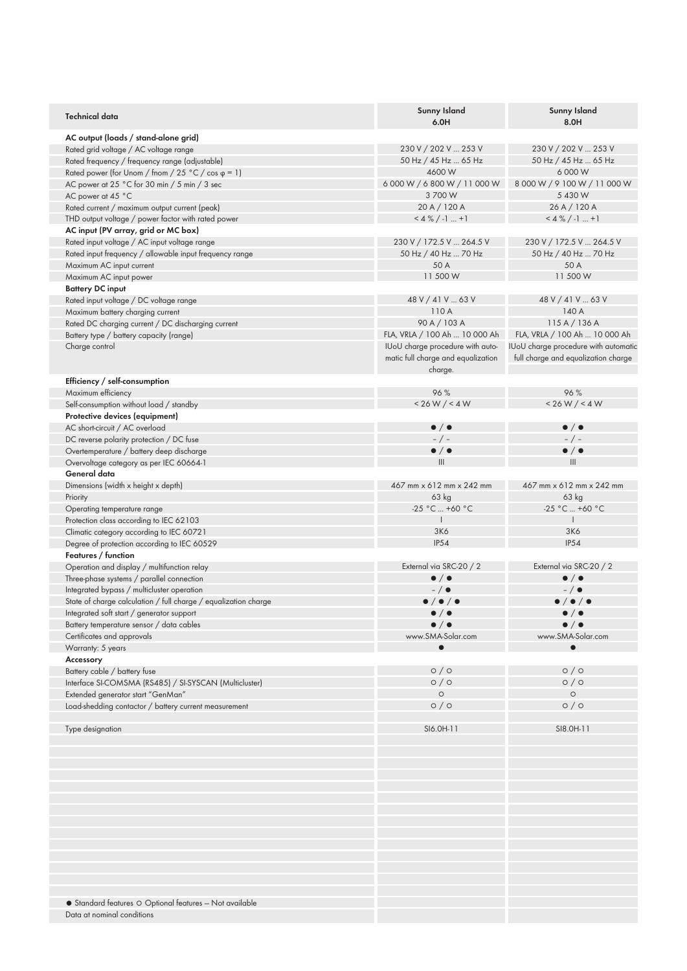| <b>Technical data</b>                                           | Sunny Island<br>6.0H                          | <b>Sunny Island</b><br>8.0H          |
|-----------------------------------------------------------------|-----------------------------------------------|--------------------------------------|
| AC output (loads / stand-alone grid)                            |                                               |                                      |
| Rated grid voltage / AC voltage range                           | 230 V / 202 V  253 V                          | 230 V / 202 V  253 V                 |
| Rated frequency / frequency range (adjustable)                  | 50 Hz / 45 Hz  65 Hz                          | 50 Hz / 45 Hz  65 Hz                 |
| Rated power (for Unom / fnom / 25 °C / cos $\varphi$ = 1)       | 4600 W                                        | 6 000 W                              |
| AC power at 25 °C for 30 min / 5 min / 3 sec                    | 6 000 W / 6 800 W / 11 000 W                  | 8 000 W / 9 100 W / 11 000 W         |
| AC power at 45 °C                                               | 3 700 W                                       | 5 430 W                              |
| Rated current / maximum output current (peak)                   | 20 A / 120 A                                  | 26 A / 120 A                         |
| THD output voltage / power factor with rated power              | $<4\%$ / -1  +1                               | $<4\%$ / -1  +1                      |
| AC input (PV array, grid or MC box)                             |                                               |                                      |
| Rated input voltage / AC input voltage range                    | 230 V / 172.5 V  264.5 V                      | 230 V / 172.5 V  264.5 V             |
| Rated input frequency / allowable input frequency range         | 50 Hz / 40 Hz  70 Hz                          | 50 Hz / 40 Hz  70 Hz                 |
| Maximum AC input current                                        | 50 A                                          | 50 A                                 |
| Maximum AC input power                                          | 11 500 W                                      | 11 500 W                             |
| <b>Battery DC input</b>                                         |                                               |                                      |
| Rated input voltage / DC voltage range                          | 48 V / 41 V  63 V                             | 48 V / 41 V  63 V                    |
| Maximum battery charging current                                | 110 A                                         | 140 A                                |
| Rated DC charging current / DC discharging current              | 90 A / 103 A                                  | 115A/136A                            |
| Battery type / battery capacity (range)                         | FLA, VRLA / 100 Ah  10 000 Ah                 | FLA, VRLA / 100 Ah  10 000 Ah        |
| Charge control                                                  | IUoU charge procedure with auto-              | IUoU charge procedure with automatic |
|                                                                 | matic full charge and equalization<br>charge. | full charge and equalization charge  |
| Efficiency / self-consumption                                   |                                               |                                      |
| Maximum efficiency                                              | 96%                                           | 96%                                  |
| Self-consumption without load / standby                         | < 26 W / < 4 W                                | < 26 W / < 4 W                       |
| Protective devices (equipment)                                  |                                               |                                      |
| AC short-circuit / AC overload                                  | $\bullet$ / $\bullet$                         | $\bullet$ / $\bullet$                |
| DC reverse polarity protection / DC fuse                        | $- / -$                                       | $-$ / $-$                            |
| Overtemperature / battery deep discharge                        | $\bullet$ / $\bullet$                         | $\bullet$ / $\bullet$                |
| Overvoltage category as per IEC 60664-1                         | III                                           | III                                  |
| General data                                                    |                                               |                                      |
| Dimensions (width x height x depth)                             | 467 mm x 612 mm x 242 mm                      | 467 mm x 612 mm x 242 mm             |
| Priority                                                        | $63$ kg                                       | 63 kg                                |
| Operating temperature range                                     | $-25 °C  +60 °C$                              | $-25 °C  +60 °C$                     |
| Protection class according to IEC 62103                         | $\mathbf{I}$                                  | $\mathbf{I}$                         |
| Climatic category according to IEC 60721                        | 3K6                                           | <b>3K6</b>                           |
| Degree of protection according to IEC 60529                     | <b>IP54</b>                                   | <b>IP54</b>                          |
| Features / function                                             |                                               |                                      |
| Operation and display / multifunction relay                     | External via SRC-20 / 2                       | External via SRC-20 / 2              |
| Three-phase systems / parallel connection                       | $\bullet$ / $\bullet$                         | $\bullet$ / $\bullet$                |
| Integrated bypass / multicluster operation                      | $-$ / $\bullet$                               | $-$ / $\bullet$                      |
| State of charge calculation / full charge / equalization charge | $\bullet$ / $\bullet$ / $\bullet$             | $\bullet$ / $\bullet$ / $\bullet$    |
| Integrated soft start / generator support                       | $\bullet$ / $\bullet$                         | $\bullet$ / $\bullet$                |
| Battery temperature sensor / data cables                        | $\bullet$ / $\bullet$                         | $\bullet$ / $\bullet$                |
| Certificates and approvals                                      | www.SMA-Solar.com                             | www.SMA-Solar.com                    |
| Warranty: 5 years                                               |                                               | $\bullet$                            |
| Accessory                                                       |                                               |                                      |
| Battery cable / battery fuse                                    | O/O                                           | O/O                                  |
| Interface SI-COMSMA (RS485) / SI-SYSCAN (Multicluster)          | $\circ$ / $\circ$                             | $\circ$ / $\circ$                    |
| Extended generator start "GenMan"                               | $\circ$                                       | $\circ$                              |
| Load-shedding contactor / battery current measurement           | O/O                                           | O/O                                  |
|                                                                 |                                               |                                      |
| Type designation                                                | SI6.0H-11                                     | SI8.0H-11                            |
|                                                                 |                                               |                                      |
|                                                                 |                                               |                                      |
|                                                                 |                                               |                                      |
|                                                                 |                                               |                                      |
|                                                                 |                                               |                                      |
|                                                                 |                                               |                                      |
|                                                                 |                                               |                                      |
|                                                                 |                                               |                                      |
|                                                                 |                                               |                                      |
|                                                                 |                                               |                                      |
|                                                                 |                                               |                                      |
|                                                                 |                                               |                                      |
|                                                                 |                                               |                                      |
| • Standard features O Optional features - Not available         |                                               |                                      |
| Data at nominal conditions                                      |                                               |                                      |
|                                                                 |                                               |                                      |